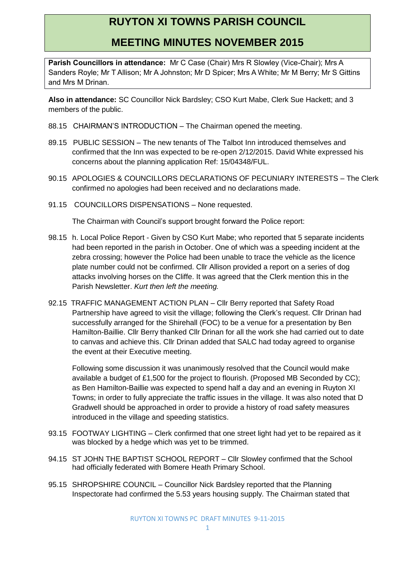## **RUYTON XI TOWNS PARISH COUNCIL**

## **MEETING MINUTES NOVEMBER 2015**

**Parish Councillors in attendance:** Mr C Case (Chair) Mrs R Slowley (Vice-Chair); Mrs A Sanders Royle; Mr T Allison; Mr A Johnston; Mr D Spicer; Mrs A White; Mr M Berry; Mr S Gittins and Mrs M Drinan.

**Also in attendance:** SC Councillor Nick Bardsley; CSO Kurt Mabe, Clerk Sue Hackett; and 3 members of the public.

- 88.15 CHAIRMAN'S INTRODUCTION The Chairman opened the meeting.
- 89.15 PUBLIC SESSION The new tenants of The Talbot Inn introduced themselves and confirmed that the Inn was expected to be re-open 2/12/2015. David White expressed his concerns about the planning application Ref: 15/04348/FUL.
- 90.15 APOLOGIES & COUNCILLORS DECLARATIONS OF PECUNIARY INTERESTS The Clerk confirmed no apologies had been received and no declarations made.
- 91.15 COUNCILLORS DISPENSATIONS None requested.

The Chairman with Council's support brought forward the Police report:

- 98.15 h. Local Police Report Given by CSO Kurt Mabe; who reported that 5 separate incidents had been reported in the parish in October. One of which was a speeding incident at the zebra crossing; however the Police had been unable to trace the vehicle as the licence plate number could not be confirmed. Cllr Allison provided a report on a series of dog attacks involving horses on the Cliffe. It was agreed that the Clerk mention this in the Parish Newsletter. *Kurt then left the meeting.*
- 92.15 TRAFFIC MANAGEMENT ACTION PLAN Cllr Berry reported that Safety Road Partnership have agreed to visit the village; following the Clerk's request. Cllr Drinan had successfully arranged for the Shirehall (FOC) to be a venue for a presentation by Ben Hamilton-Baillie. Cllr Berry thanked Cllr Drinan for all the work she had carried out to date to canvas and achieve this. Cllr Drinan added that SALC had today agreed to organise the event at their Executive meeting.

Following some discussion it was unanimously resolved that the Council would make available a budget of £1,500 for the project to flourish. (Proposed MB Seconded by CC); as Ben Hamilton-Baillie was expected to spend half a day and an evening in Ruyton XI Towns; in order to fully appreciate the traffic issues in the village. It was also noted that D Gradwell should be approached in order to provide a history of road safety measures introduced in the village and speeding statistics.

- 93.15 FOOTWAY LIGHTING Clerk confirmed that one street light had yet to be repaired as it was blocked by a hedge which was yet to be trimmed.
- 94.15 ST JOHN THE BAPTIST SCHOOL REPORT Cllr Slowley confirmed that the School had officially federated with Bomere Heath Primary School.
- 95.15 SHROPSHIRE COUNCIL Councillor Nick Bardsley reported that the Planning Inspectorate had confirmed the 5.53 years housing supply. The Chairman stated that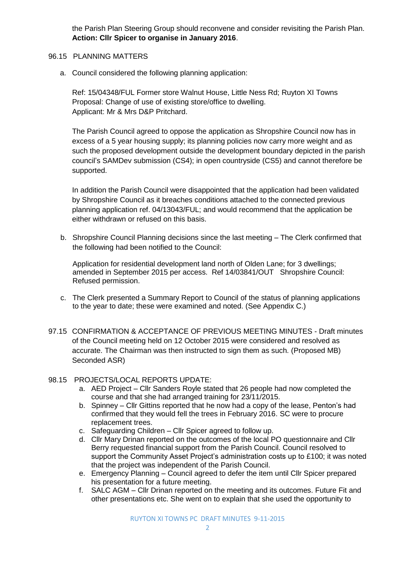the Parish Plan Steering Group should reconvene and consider revisiting the Parish Plan. **Action: Cllr Spicer to organise in January 2016**.

- 96.15 PLANNING MATTERS
	- a. Council considered the following planning application:

Ref: 15/04348/FUL Former store Walnut House, Little Ness Rd; Ruyton XI Towns Proposal: Change of use of existing store/office to dwelling. Applicant: Mr & Mrs D&P Pritchard.

The Parish Council agreed to oppose the application as Shropshire Council now has in excess of a 5 year housing supply; its planning policies now carry more weight and as such the proposed development outside the development boundary depicted in the parish council's SAMDev submission (CS4); in open countryside (CS5) and cannot therefore be supported.

In addition the Parish Council were disappointed that the application had been validated by Shropshire Council as it breaches conditions attached to the connected previous planning application ref. 04/13043/FUL; and would recommend that the application be either withdrawn or refused on this basis.

b. Shropshire Council Planning decisions since the last meeting – The Clerk confirmed that the following had been notified to the Council:

Application for residential development land north of Olden Lane; for 3 dwellings; amended in September 2015 per access. Ref 14/03841/OUT Shropshire Council: Refused permission.

- c. The Clerk presented a Summary Report to Council of the status of planning applications to the year to date; these were examined and noted. (See Appendix C.)
- 97.15 CONFIRMATION & ACCEPTANCE OF PREVIOUS MEETING MINUTES Draft minutes of the Council meeting held on 12 October 2015 were considered and resolved as accurate. The Chairman was then instructed to sign them as such. (Proposed MB) Seconded ASR)
- 98.15 PROJECTS/LOCAL REPORTS UPDATE:
	- a. AED Project Cllr Sanders Royle stated that 26 people had now completed the course and that she had arranged training for 23/11/2015.
	- b. Spinney Cllr Gittins reported that he now had a copy of the lease, Penton's had confirmed that they would fell the trees in February 2016. SC were to procure replacement trees.
	- c. Safeguarding Children Cllr Spicer agreed to follow up.
	- d. Cllr Mary Drinan reported on the outcomes of the local PO questionnaire and Cllr Berry requested financial support from the Parish Council. Council resolved to support the Community Asset Project's administration costs up to £100; it was noted that the project was independent of the Parish Council.
	- e. Emergency Planning Council agreed to defer the item until Cllr Spicer prepared his presentation for a future meeting.
	- f. SALC AGM Cllr Drinan reported on the meeting and its outcomes. Future Fit and other presentations etc. She went on to explain that she used the opportunity to